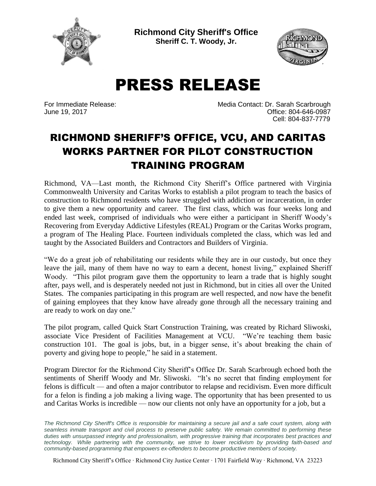

**Richmond City Sheriff's Office Sheriff C. T. Woody, Jr.**



PRESS RELEASE

For Immediate Release: Media Contact: Dr. Sarah Scarbrough June 19, 2017 Office: 804-646-0987 Cell: 804-837-7779

## RICHMOND SHERIFF'S OFFICE, VCU, AND CARITAS WORKS PARTNER FOR PILOT CONSTRUCTION TRAINING PROGRAM

Richmond, VA—Last month, the Richmond City Sheriff's Office partnered with Virginia Commonwealth University and Caritas Works to establish a pilot program to teach the basics of construction to Richmond residents who have struggled with addiction or incarceration, in order to give them a new opportunity and career. The first class, which was four weeks long and ended last week, comprised of individuals who were either a participant in Sheriff Woody's Recovering from Everyday Addictive Lifestyles (REAL) Program or the Caritas Works program, a program of The Healing Place. Fourteen individuals completed the class, which was led and taught by the Associated Builders and Contractors and Builders of Virginia.

"We do a great job of rehabilitating our residents while they are in our custody, but once they leave the jail, many of them have no way to earn a decent, honest living," explained Sheriff Woody. "This pilot program gave them the opportunity to learn a trade that is highly sought after, pays well, and is desperately needed not just in Richmond, but in cities all over the United States. The companies participating in this program are well respected, and now have the benefit of gaining employees that they know have already gone through all the necessary training and are ready to work on day one."

The pilot program, called Quick Start Construction Training, was created by Richard Sliwoski, associate Vice President of Facilities Management at VCU. "We're teaching them basic construction 101. The goal is jobs, but, in a bigger sense, it's about breaking the chain of poverty and giving hope to people," he said in a statement.

Program Director for the Richmond City Sheriff's Office Dr. Sarah Scarbrough echoed both the sentiments of Sheriff Woody and Mr. Sliwoski. "It's no secret that finding employment for felons is difficult — and often a major contributor to relapse and recidivism. Even more difficult for a felon is finding a job making a living wage. The opportunity that has been presented to us and Caritas Works is incredible — now our clients not only have an opportunity for a job, but a

The Richmond City Sheriff's Office is responsible for maintaining a secure jail and a safe court system, along with *seamless inmate transport and civil process to preserve public safety. We remain committed to performing these duties with unsurpassed integrity and professionalism, with progressive training that incorporates best practices and technology. While partnering with the community, we strive to lower recidivism by providing faith-based and community-based programming that empowers ex-offenders to become productive members of society.*